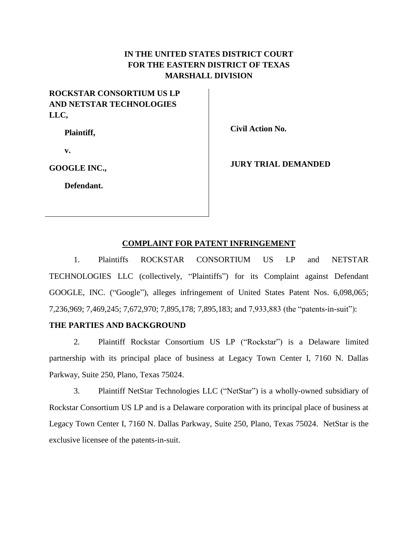# **IN THE UNITED STATES DISTRICT COURT FOR THE EASTERN DISTRICT OF TEXAS MARSHALL DIVISION**

# **ROCKSTAR CONSORTIUM US LP AND NETSTAR TECHNOLOGIES LLC,**

**Plaintiff,**

**Civil Action No.** 

**v.**

**GOOGLE INC.,**

**Defendant.**

**JURY TRIAL DEMANDED**

## **COMPLAINT FOR PATENT INFRINGEMENT**

1. Plaintiffs ROCKSTAR CONSORTIUM US LP and NETSTAR TECHNOLOGIES LLC (collectively, "Plaintiffs") for its Complaint against Defendant GOOGLE, INC. ("Google"), alleges infringement of United States Patent Nos. 6,098,065; 7,236,969; 7,469,245; 7,672,970; 7,895,178; 7,895,183; and 7,933,883 (the "patents-in-suit"):

# **THE PARTIES AND BACKGROUND**

2. Plaintiff Rockstar Consortium US LP ("Rockstar") is a Delaware limited partnership with its principal place of business at Legacy Town Center I, 7160 N. Dallas Parkway, Suite 250, Plano, Texas 75024.

3. Plaintiff NetStar Technologies LLC ("NetStar") is a wholly-owned subsidiary of Rockstar Consortium US LP and is a Delaware corporation with its principal place of business at Legacy Town Center I, 7160 N. Dallas Parkway, Suite 250, Plano, Texas 75024. NetStar is the exclusive licensee of the patents-in-suit.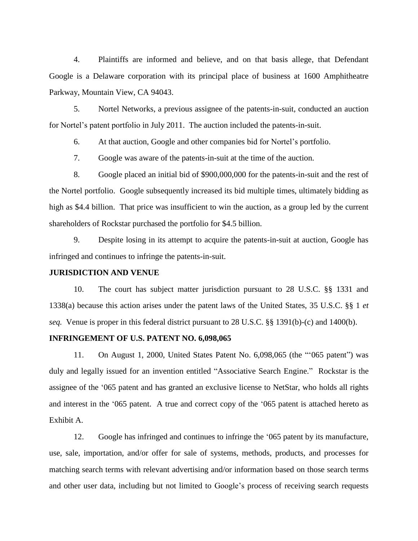4. Plaintiffs are informed and believe, and on that basis allege, that Defendant Google is a Delaware corporation with its principal place of business at 1600 Amphitheatre Parkway, Mountain View, CA 94043.

5. Nortel Networks, a previous assignee of the patents-in-suit, conducted an auction for Nortel's patent portfolio in July 2011. The auction included the patents-in-suit.

6. At that auction, Google and other companies bid for Nortel's portfolio.

7. Google was aware of the patents-in-suit at the time of the auction.

8. Google placed an initial bid of \$900,000,000 for the patents-in-suit and the rest of the Nortel portfolio. Google subsequently increased its bid multiple times, ultimately bidding as high as \$4.4 billion. That price was insufficient to win the auction, as a group led by the current shareholders of Rockstar purchased the portfolio for \$4.5 billion.

9. Despite losing in its attempt to acquire the patents-in-suit at auction, Google has infringed and continues to infringe the patents-in-suit.

#### **JURISDICTION AND VENUE**

10. The court has subject matter jurisdiction pursuant to 28 U.S.C. §§ 1331 and 1338(a) because this action arises under the patent laws of the United States, 35 U.S.C. §§ 1 *et seq.* Venue is proper in this federal district pursuant to 28 U.S.C. §§ 1391(b)-(c) and 1400(b).

## **INFRINGEMENT OF U.S. PATENT NO. 6,098,065**

11. On August 1, 2000, United States Patent No. 6,098,065 (the "'065 patent") was duly and legally issued for an invention entitled "Associative Search Engine." Rockstar is the assignee of the '065 patent and has granted an exclusive license to NetStar, who holds all rights and interest in the '065 patent. A true and correct copy of the '065 patent is attached hereto as Exhibit A.

12. Google has infringed and continues to infringe the '065 patent by its manufacture, use, sale, importation, and/or offer for sale of systems, methods, products, and processes for matching search terms with relevant advertising and/or information based on those search terms and other user data, including but not limited to Google's process of receiving search requests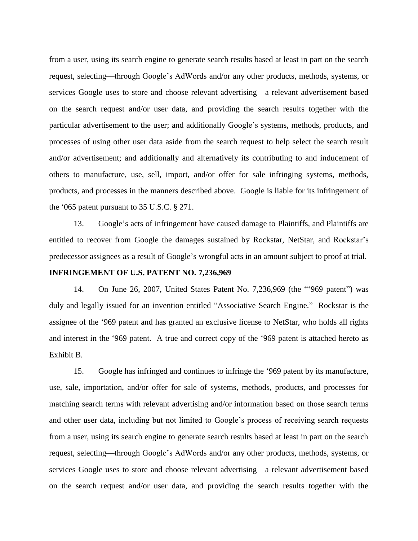from a user, using its search engine to generate search results based at least in part on the search request, selecting—through Google's AdWords and/or any other products, methods, systems, or services Google uses to store and choose relevant advertising—a relevant advertisement based on the search request and/or user data, and providing the search results together with the particular advertisement to the user; and additionally Google's systems, methods, products, and processes of using other user data aside from the search request to help select the search result and/or advertisement; and additionally and alternatively its contributing to and inducement of others to manufacture, use, sell, import, and/or offer for sale infringing systems, methods, products, and processes in the manners described above. Google is liable for its infringement of the '065 patent pursuant to 35 U.S.C. § 271.

13. Google's acts of infringement have caused damage to Plaintiffs, and Plaintiffs are entitled to recover from Google the damages sustained by Rockstar, NetStar, and Rockstar's predecessor assignees as a result of Google's wrongful acts in an amount subject to proof at trial.

## **INFRINGEMENT OF U.S. PATENT NO. 7,236,969**

14. On June 26, 2007, United States Patent No. 7,236,969 (the "'969 patent") was duly and legally issued for an invention entitled "Associative Search Engine." Rockstar is the assignee of the '969 patent and has granted an exclusive license to NetStar, who holds all rights and interest in the '969 patent. A true and correct copy of the '969 patent is attached hereto as Exhibit B.

15. Google has infringed and continues to infringe the '969 patent by its manufacture, use, sale, importation, and/or offer for sale of systems, methods, products, and processes for matching search terms with relevant advertising and/or information based on those search terms and other user data, including but not limited to Google's process of receiving search requests from a user, using its search engine to generate search results based at least in part on the search request, selecting—through Google's AdWords and/or any other products, methods, systems, or services Google uses to store and choose relevant advertising—a relevant advertisement based on the search request and/or user data, and providing the search results together with the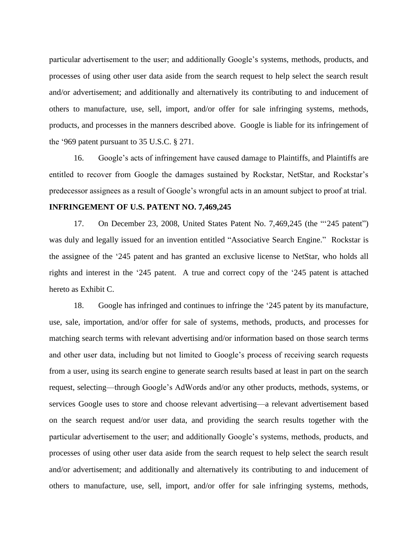particular advertisement to the user; and additionally Google's systems, methods, products, and processes of using other user data aside from the search request to help select the search result and/or advertisement; and additionally and alternatively its contributing to and inducement of others to manufacture, use, sell, import, and/or offer for sale infringing systems, methods, products, and processes in the manners described above. Google is liable for its infringement of the '969 patent pursuant to 35 U.S.C. § 271.

16. Google's acts of infringement have caused damage to Plaintiffs, and Plaintiffs are entitled to recover from Google the damages sustained by Rockstar, NetStar, and Rockstar's predecessor assignees as a result of Google's wrongful acts in an amount subject to proof at trial.

#### **INFRINGEMENT OF U.S. PATENT NO. 7,469,245**

17. On December 23, 2008, United States Patent No. 7,469,245 (the "'245 patent") was duly and legally issued for an invention entitled "Associative Search Engine." Rockstar is the assignee of the '245 patent and has granted an exclusive license to NetStar, who holds all rights and interest in the '245 patent. A true and correct copy of the '245 patent is attached hereto as Exhibit C.

18. Google has infringed and continues to infringe the '245 patent by its manufacture, use, sale, importation, and/or offer for sale of systems, methods, products, and processes for matching search terms with relevant advertising and/or information based on those search terms and other user data, including but not limited to Google's process of receiving search requests from a user, using its search engine to generate search results based at least in part on the search request, selecting—through Google's AdWords and/or any other products, methods, systems, or services Google uses to store and choose relevant advertising—a relevant advertisement based on the search request and/or user data, and providing the search results together with the particular advertisement to the user; and additionally Google's systems, methods, products, and processes of using other user data aside from the search request to help select the search result and/or advertisement; and additionally and alternatively its contributing to and inducement of others to manufacture, use, sell, import, and/or offer for sale infringing systems, methods,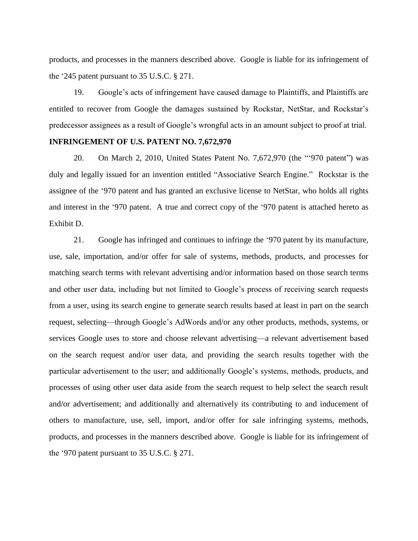products, and processes in the manners described above. Google is liable for its infringement of the '245 patent pursuant to 35 U.S.C. § 271.

19. Google's acts of infringement have caused damage to Plaintiffs, and Plaintiffs are entitled to recover from Google the damages sustained by Rockstar, NetStar, and Rockstar's predecessor assignees as a result of Google's wrongful acts in an amount subject to proof at trial.

#### **INFRINGEMENT OF U.S. PATENT NO. 7,672,970**

20. On March 2, 2010, United States Patent No. 7,672,970 (the "'970 patent") was duly and legally issued for an invention entitled "Associative Search Engine." Rockstar is the assignee of the '970 patent and has granted an exclusive license to NetStar, who holds all rights and interest in the '970 patent. A true and correct copy of the '970 patent is attached hereto as Exhibit D.

21. Google has infringed and continues to infringe the '970 patent by its manufacture, use, sale, importation, and/or offer for sale of systems, methods, products, and processes for matching search terms with relevant advertising and/or information based on those search terms and other user data, including but not limited to Google's process of receiving search requests from a user, using its search engine to generate search results based at least in part on the search request, selecting—through Google's AdWords and/or any other products, methods, systems, or services Google uses to store and choose relevant advertising—a relevant advertisement based on the search request and/or user data, and providing the search results together with the particular advertisement to the user; and additionally Google's systems, methods, products, and processes of using other user data aside from the search request to help select the search result and/or advertisement; and additionally and alternatively its contributing to and inducement of others to manufacture, use, sell, import, and/or offer for sale infringing systems, methods, products, and processes in the manners described above. Google is liable for its infringement of the '970 patent pursuant to 35 U.S.C. § 271.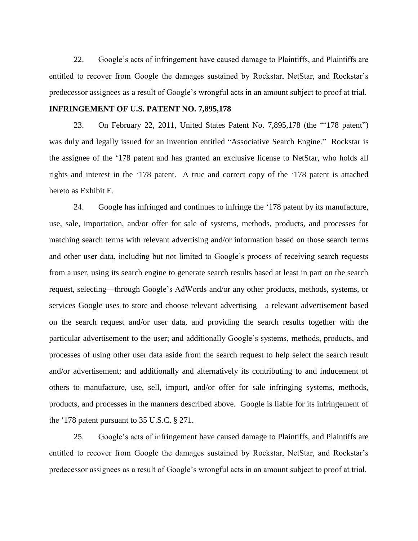22. Google's acts of infringement have caused damage to Plaintiffs, and Plaintiffs are entitled to recover from Google the damages sustained by Rockstar, NetStar, and Rockstar's predecessor assignees as a result of Google's wrongful acts in an amount subject to proof at trial.

## **INFRINGEMENT OF U.S. PATENT NO. 7,895,178**

23. On February 22, 2011, United States Patent No. 7,895,178 (the "'178 patent") was duly and legally issued for an invention entitled "Associative Search Engine." Rockstar is the assignee of the '178 patent and has granted an exclusive license to NetStar, who holds all rights and interest in the '178 patent. A true and correct copy of the '178 patent is attached hereto as Exhibit E.

24. Google has infringed and continues to infringe the '178 patent by its manufacture, use, sale, importation, and/or offer for sale of systems, methods, products, and processes for matching search terms with relevant advertising and/or information based on those search terms and other user data, including but not limited to Google's process of receiving search requests from a user, using its search engine to generate search results based at least in part on the search request, selecting—through Google's AdWords and/or any other products, methods, systems, or services Google uses to store and choose relevant advertising—a relevant advertisement based on the search request and/or user data, and providing the search results together with the particular advertisement to the user; and additionally Google's systems, methods, products, and processes of using other user data aside from the search request to help select the search result and/or advertisement; and additionally and alternatively its contributing to and inducement of others to manufacture, use, sell, import, and/or offer for sale infringing systems, methods, products, and processes in the manners described above. Google is liable for its infringement of the '178 patent pursuant to 35 U.S.C. § 271.

25. Google's acts of infringement have caused damage to Plaintiffs, and Plaintiffs are entitled to recover from Google the damages sustained by Rockstar, NetStar, and Rockstar's predecessor assignees as a result of Google's wrongful acts in an amount subject to proof at trial.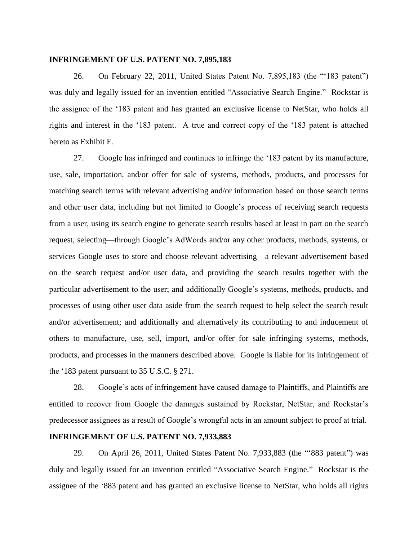#### **INFRINGEMENT OF U.S. PATENT NO. 7,895,183**

26. On February 22, 2011, United States Patent No. 7,895,183 (the "'183 patent") was duly and legally issued for an invention entitled "Associative Search Engine." Rockstar is the assignee of the '183 patent and has granted an exclusive license to NetStar, who holds all rights and interest in the '183 patent. A true and correct copy of the '183 patent is attached hereto as Exhibit F.

27. Google has infringed and continues to infringe the '183 patent by its manufacture, use, sale, importation, and/or offer for sale of systems, methods, products, and processes for matching search terms with relevant advertising and/or information based on those search terms and other user data, including but not limited to Google's process of receiving search requests from a user, using its search engine to generate search results based at least in part on the search request, selecting—through Google's AdWords and/or any other products, methods, systems, or services Google uses to store and choose relevant advertising—a relevant advertisement based on the search request and/or user data, and providing the search results together with the particular advertisement to the user; and additionally Google's systems, methods, products, and processes of using other user data aside from the search request to help select the search result and/or advertisement; and additionally and alternatively its contributing to and inducement of others to manufacture, use, sell, import, and/or offer for sale infringing systems, methods, products, and processes in the manners described above. Google is liable for its infringement of the '183 patent pursuant to 35 U.S.C. § 271.

28. Google's acts of infringement have caused damage to Plaintiffs, and Plaintiffs are entitled to recover from Google the damages sustained by Rockstar, NetStar, and Rockstar's predecessor assignees as a result of Google's wrongful acts in an amount subject to proof at trial.

#### **INFRINGEMENT OF U.S. PATENT NO. 7,933,883**

29. On April 26, 2011, United States Patent No. 7,933,883 (the "'883 patent") was duly and legally issued for an invention entitled "Associative Search Engine." Rockstar is the assignee of the '883 patent and has granted an exclusive license to NetStar, who holds all rights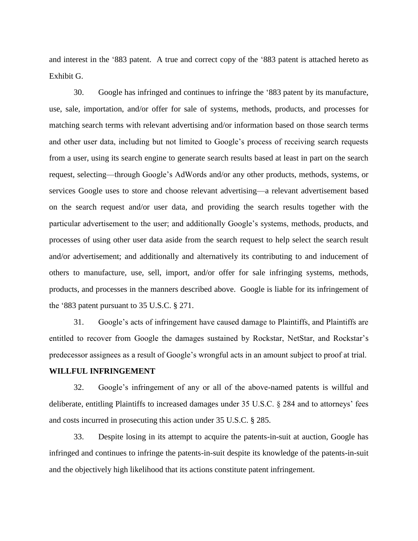and interest in the '883 patent. A true and correct copy of the '883 patent is attached hereto as Exhibit G.

30. Google has infringed and continues to infringe the '883 patent by its manufacture, use, sale, importation, and/or offer for sale of systems, methods, products, and processes for matching search terms with relevant advertising and/or information based on those search terms and other user data, including but not limited to Google's process of receiving search requests from a user, using its search engine to generate search results based at least in part on the search request, selecting—through Google's AdWords and/or any other products, methods, systems, or services Google uses to store and choose relevant advertising—a relevant advertisement based on the search request and/or user data, and providing the search results together with the particular advertisement to the user; and additionally Google's systems, methods, products, and processes of using other user data aside from the search request to help select the search result and/or advertisement; and additionally and alternatively its contributing to and inducement of others to manufacture, use, sell, import, and/or offer for sale infringing systems, methods, products, and processes in the manners described above. Google is liable for its infringement of the '883 patent pursuant to 35 U.S.C. § 271.

31. Google's acts of infringement have caused damage to Plaintiffs, and Plaintiffs are entitled to recover from Google the damages sustained by Rockstar, NetStar, and Rockstar's predecessor assignees as a result of Google's wrongful acts in an amount subject to proof at trial.

#### **WILLFUL INFRINGEMENT**

32. Google's infringement of any or all of the above-named patents is willful and deliberate, entitling Plaintiffs to increased damages under 35 U.S.C. § 284 and to attorneys' fees and costs incurred in prosecuting this action under 35 U.S.C. § 285.

33. Despite losing in its attempt to acquire the patents-in-suit at auction, Google has infringed and continues to infringe the patents-in-suit despite its knowledge of the patents-in-suit and the objectively high likelihood that its actions constitute patent infringement.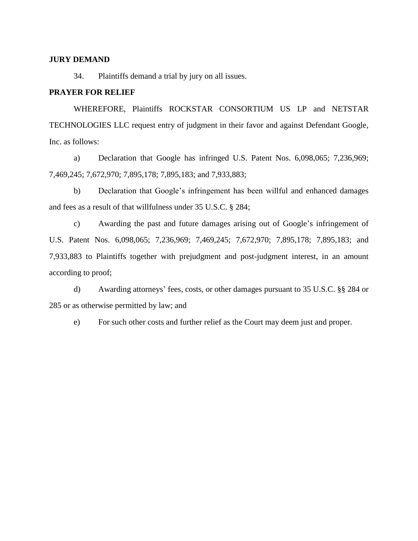#### **JURY DEMAND**

34. Plaintiffs demand a trial by jury on all issues.

# **PRAYER FOR RELIEF**

WHEREFORE, Plaintiffs ROCKSTAR CONSORTIUM US LP and NETSTAR TECHNOLOGIES LLC request entry of judgment in their favor and against Defendant Google, Inc. as follows:

a) Declaration that Google has infringed U.S. Patent Nos. 6,098,065; 7,236,969; 7,469,245; 7,672,970; 7,895,178; 7,895,183; and 7,933,883;

b) Declaration that Google's infringement has been willful and enhanced damages and fees as a result of that willfulness under 35 U.S.C. § 284;

c) Awarding the past and future damages arising out of Google's infringement of U.S. Patent Nos. 6,098,065; 7,236,969; 7,469,245; 7,672,970; 7,895,178; 7,895,183; and 7,933,883 to Plaintiffs together with prejudgment and post-judgment interest, in an amount according to proof;

d) Awarding attorneys' fees, costs, or other damages pursuant to 35 U.S.C. §§ 284 or 285 or as otherwise permitted by law; and

e) For such other costs and further relief as the Court may deem just and proper.